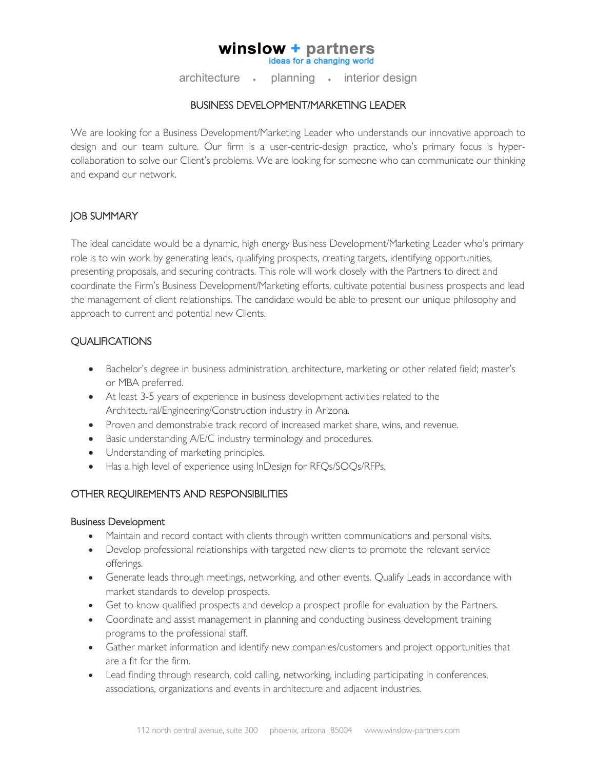#### winslow + partners ideas for a changing world

architecture • planning • interior design

## BUSINESS DEVELOPMENT/MARKETING LEADER

We are looking for a Business Development/Marketing Leader who understands our innovative approach to design and our team culture. Our firm is a user-centric-design practice, who's primary focus is hypercollaboration to solve our Client's problems. We are looking for someone who can communicate our thinking and expand our network.

# JOB SUMMARY

The ideal candidate would be a dynamic, high energy Business Development/Marketing Leader who's primary role is to win work by generating leads, qualifying prospects, creating targets, identifying opportunities, presenting proposals, and securing contracts. This role will work closely with the Partners to direct and coordinate the Firm's Business Development/Marketing efforts, cultivate potential business prospects and lead the management of client relationships. The candidate would be able to present our unique philosophy and approach to current and potential new Clients.

# **QUALIFICATIONS**

- Bachelor's degree in business administration, architecture, marketing or other related field; master's or MBA preferred.
- At least 3-5 years of experience in business development activities related to the Architectural/Engineering/Construction industry in Arizona.
- Proven and demonstrable track record of increased market share, wins, and revenue.
- Basic understanding A/E/C industry terminology and procedures.
- Understanding of marketing principles.
- Has a high level of experience using InDesign for RFQs/SOQs/RFPs.

# OTHER REQUIREMENTS AND RESPONSIBILITIES

## Business Development

- Maintain and record contact with clients through written communications and personal visits.
- Develop professional relationships with targeted new clients to promote the relevant service offerings.
- Generate leads through meetings, networking, and other events. Qualify Leads in accordance with market standards to develop prospects.
- Get to know qualified prospects and develop a prospect profile for evaluation by the Partners.
- Coordinate and assist management in planning and conducting business development training programs to the professional staff.
- Gather market information and identify new companies/customers and project opportunities that are a fit for the firm.
- Lead finding through research, cold calling, networking, including participating in conferences, associations, organizations and events in architecture and adjacent industries.